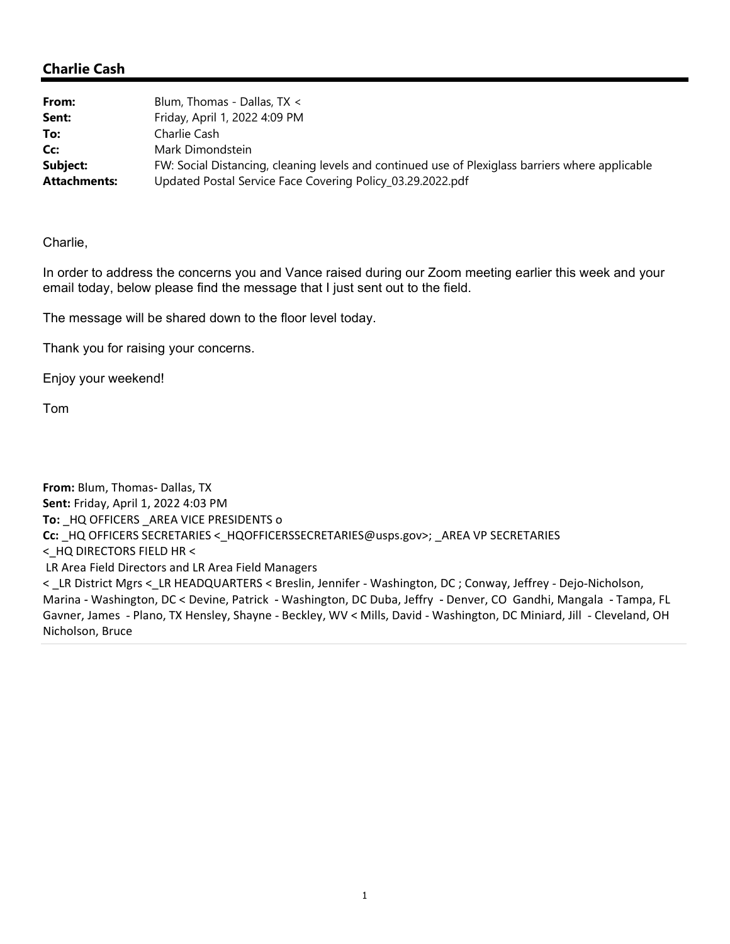## Charlie Cash

| From:               | Blum, Thomas - Dallas, TX <                                                                      |
|---------------------|--------------------------------------------------------------------------------------------------|
| Sent:               | Friday, April 1, 2022 4:09 PM                                                                    |
| To:                 | Charlie Cash                                                                                     |
| Cc:                 | Mark Dimondstein                                                                                 |
| Subject:            | FW: Social Distancing, cleaning levels and continued use of Plexiglass barriers where applicable |
| <b>Attachments:</b> | Updated Postal Service Face Covering Policy_03.29.2022.pdf                                       |

## Charlie,

In order to address the concerns you and Vance raised during our Zoom meeting earlier this week and your email today, below please find the message that I just sent out to the field.

The message will be shared down to the floor level today.

Thank you for raising your concerns.

Enjoy your weekend!

Tom

From: Blum, Thomas- Dallas, TX Sent: Friday, April 1, 2022 4:03 PM To: \_HQ OFFICERS \_AREA VICE PRESIDENTS o Cc: \_HQ OFFICERS SECRETARIES <\_HQOFFICERSSECRETARIES@usps.gov>; \_AREA VP SECRETARIES <\_HQ DIRECTORS FIELD HR < LR Area Field Directors and LR Area Field Managers < \_ LR District Mgrs < \_ LR HEADQUARTERS < Breslin, Jennifer - Washington, DC ; Conway, Jeffrey - Dejo-Nicholson, Marina - Washington, DC < Devine, Patrick - Washington, DC Duba, Jeffry - Denver, CO Gandhi, Mangala - Tampa, FL Gavner, James - Plano, TX Hensley, Shayne - Beckley, WV < Mills, David - Washington, DC Miniard, Jill - Cleveland, OH Nicholson, Bruce